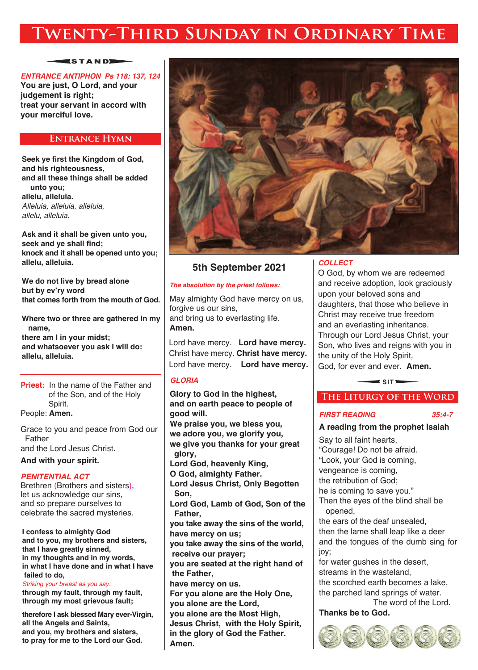# **Twenty-Third Sunday in Ordinary Time**

#### **ESTANDE**

### *ENTRANCE ANTIPHON Ps 118: 137, 124* **You are just, O Lord, and your judgement is right; treat your servant in accord with your merciful love.**

# **Entrance Hymn**

**Seek ye first the Kingdom of God, and his righteousness, and all these things shall be added unto you; allelu, alleluia.** *Alleluia, alleluia, alleluia, allelu, alleluia.*

**Ask and it shall be given unto you, seek and ye shall find; knock and it shall be opened unto you; allelu, alleluia.**

**We do not live by bread alone but by ev'ry word that comes forth from the mouth of God.**

**Where two or three are gathered in my name, there am I in your midst;**

**and whatsoever you ask I will do: allelu, alleluia.**

**Priest:** In the name of the Father and of the Son, and of the Holy Spirit.

People: **Amen.**

Grace to you and peace from God our Father and the Lord Jesus Christ.

**And with your spirit.**

# *PENITENTIAL ACT*

Brethren (Brothers and sisters), let us acknowledge our sins, and so prepare ourselves to celebrate the sacred mysteries.

**I confess to almighty God and to you, my brothers and sisters, that I have greatly sinned, in my thoughts and in my words, in what I have done and in what I have failed to do,**

*Striking your breast as you say:* **through my fault, through my fault, through my most grievous fault;**

**therefore I ask blessed Mary ever-Virgin, all the Angels and Saints, and you, my brothers and sisters, to pray for me to the Lord our God.**



# **5th September 2021**

### *The absolution by the priest follows:*

May almighty God have mercy on us, forgive us our sins, and bring us to everlasting life. **Amen.**

Lord have mercy. **Lord have mercy.** Christ have mercy. **Christ have mercy.** Lord have mercy. **Lord have mercy.**

# *GLORIA*

**Glory to God in the highest, and on earth peace to people of good will. We praise you, we bless you, we adore you, we glorify you, we give you thanks for your great glory, Lord God, heavenly King, O God, almighty Father. Lord Jesus Christ, Only Begotten Son, Lord God, Lamb of God, Son of the Father, you take away the sins of the world, have mercy on us; you take away the sins of the world, receive our prayer; you are seated at the right hand of the Father, have mercy on us. For you alone are the Holy One, you alone are the Lord,**

**you alone are the Most High, Jesus Christ, with the Holy Spirit, in the glory of God the Father. Amen.**

# *COLLECT*

O God, by whom we are redeemed and receive adoption, look graciously upon your beloved sons and daughters, that those who believe in Christ may receive true freedom and an everlasting inheritance. Through our Lord Jesus Christ, your Son, who lives and reigns with you in the unity of the Holy Spirit, God, for ever and ever. **Amen.**

 $\equiv$  SIT $\equiv$ 

# **The Liturgy of the Word**

# *FIRST READING 35:4-7*

# **A reading from the prophet Isaiah**

Say to all faint hearts,

"Courage! Do not be afraid.

"Look, your God is coming,

vengeance is coming,

the retribution of God;

he is coming to save you."

Then the eyes of the blind shall be opened,

the ears of the deaf unsealed, then the lame shall leap like a deer and the tongues of the dumb sing for joy;

for water gushes in the desert, streams in the wasteland, the scorched earth becomes a lake,

the parched land springs of water. The word of the Lord.

**Thanks be to God.**

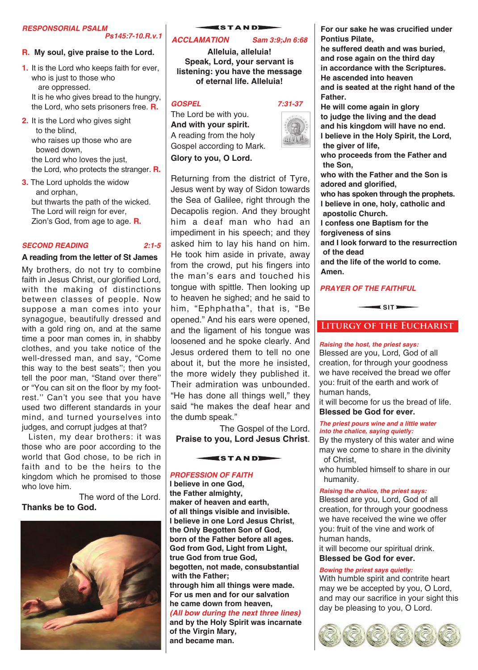#### *RESPONSORIAL PSALM Ps145:7-10.R.v.1*

# **R. My soul, give praise to the Lord.**

- **1.** It is the Lord who keeps faith for ever, who is just to those who are oppressed. It is he who gives bread to the hungry, the Lord, who sets prisoners free. **R.**
- **2.** It is the Lord who gives sight to the blind, who raises up those who are bowed down, the Lord who loves the just, the Lord, who protects the stranger. **R.**
- **3.** The Lord upholds the widow and orphan, but thwarts the path of the wicked. The Lord will reign for ever, Zion's God, from age to age. **R.**

### *SECOND READING 2:1-5*

### **A reading from the letter of St James**

My brothers, do not try to combine faith in Jesus Christ, our glorified Lord, with the making of distinctions between classes of people. Now suppose a man comes into your synagogue, beautifully dressed and with a gold ring on, and at the same time a poor man comes in, in shabby clothes, and you take notice of the well-dressed man, and say, "Come this way to the best seats''; then you tell the poor man, "Stand over there'' or "You can sit on the floor by my footrest.'' Can't you see that you have used two different standards in your mind, and turned yourselves into judges, and corrupt judges at that?

Listen, my dear brothers: it was those who are poor according to the world that God chose, to be rich in faith and to be the heirs to the kingdom which he promised to those who love him.

The word of the Lord. **Thanks be to God.**



### **STAND**

# *ACCLAMATION Sam 3:9;Jn 6:68*

**Alleluia, alleluia! Speak, Lord, your servant is listening: you have the message of eternal life. Alleluia!**

# *GOSPEL 7:31-37*

The Lord be with you. **And with your spirit.** A reading from the holy Gospel according to Mark. **Glory to you, O Lord.**



Returning from the district of Tyre, Jesus went by way of Sidon towards the Sea of Galilee, right through the Decapolis region. And they brought him a deaf man who had an impediment in his speech; and they asked him to lay his hand on him. He took him aside in private, away from the crowd, put his fingers into the man's ears and touched his tongue with spittle. Then looking up to heaven he sighed; and he said to him, "Ephphatha", that is, "Be opened." And his ears were opened, and the ligament of his tongue was loosened and he spoke clearly. And Jesus ordered them to tell no one about it, but the more he insisted, the more widely they published it. Their admiration was unbounded. "He has done all things well," they said "he makes the deaf hear and the dumb speak."

The Gospel of the Lord. **Praise to you, Lord Jesus Christ**.

# **ESTANDE**

#### *PROFESSION OF FAITH*

**I believe in one God, the Father almighty, maker of heaven and earth, of all things visible and invisible. I believe in one Lord Jesus Christ, the Only Begotten Son of God, born of the Father before all ages. God from God, Light from Light, true God from true God, begotten, not made, consubstantial with the Father; through him all things were made. For us men and for our salvation he came down from heaven,** *(All bow during the next three lines)*

# **and by the Holy Spirit was incarnate of the Virgin Mary, and became man.**

**For our sake he was crucified under Pontius Pilate,**

**he suffered death and was buried, and rose again on the third day in accordance with the Scriptures. He ascended into heaven and is seated at the right hand of the Father.**

**He will come again in glory to judge the living and the dead and his kingdom will have no end. I believe in the Holy Spirit, the Lord, the giver of life,**

**who proceeds from the Father and the Son,**

**who with the Father and the Son is adored and glorified,**

**who has spoken through the prophets. I believe in one, holy, catholic and apostolic Church.**

**I confess one Baptism for the forgiveness of sins**

**and I look forward to the resurrection of the dead**

**and the life of the world to come. Amen.**

### *PRAYER OF THE FAITHFUL*

#### $\blacksquare$  SIT

# **Liturgy of the Eucharist**

#### *Raising the host, the priest says:*

Blessed are you, Lord, God of all creation, for through your goodness we have received the bread we offer you: fruit of the earth and work of human hands,

it will become for us the bread of life. **Blessed be God for ever.**

### *The priest pours wine and a little water into the chalice, saying quietly:*

By the mystery of this water and wine may we come to share in the divinity of Christ,

who humbled himself to share in our humanity.

#### *Raising the chalice, the priest says:*

Blessed are you, Lord, God of all creation, for through your goodness we have received the wine we offer you: fruit of the vine and work of human hands,

it will become our spiritual drink. **Blessed be God for ever.**

#### *Bowing the priest says quietly:*

With humble spirit and contrite heart may we be accepted by you, O Lord, and may our sacrifice in your sight this day be pleasing to you, O Lord.

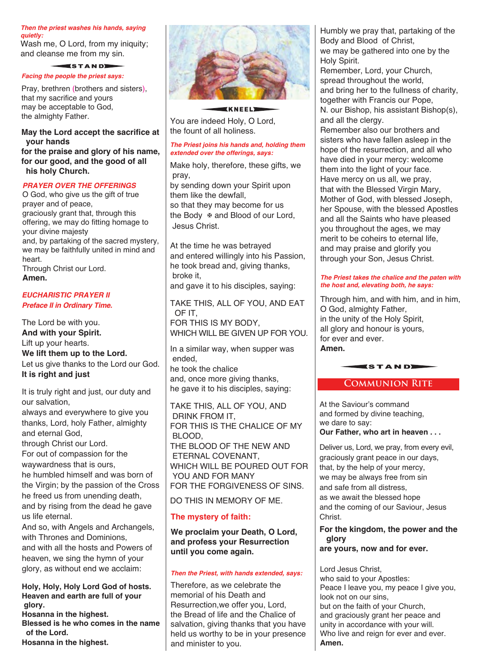#### *Then the priest washes his hands, saying quietly:*

Wash me, O Lord, from my iniquity; and cleanse me from my sin.

# STAND

### *Facing the people the priest says:*

Pray, brethren (brothers and sisters), that my sacrifice and yours may be acceptable to God, the almighty Father.

# **May the Lord accept the sacrifice at your hands**

**for the praise and glory of his name, for our good, and the good of all his holy Church.**

# *PRAYER OVER THE OFFERINGS*

O God, who give us the gift of true prayer and of peace, graciously grant that, through this offering, we may do fitting homage to your divine majesty and, by partaking of the sacred mystery, we may be faithfully united in mind and heart. Through Christ our Lord.

**Amen.**

# *EUCHARISTIC PRAYER II Preface II in Ordinary Time.*

The Lord be with you. **And with your Spirit.** Lift up your hearts. **We lift them up to the Lord.** Let us give thanks to the Lord our God. **It is right and just**

It is truly right and just, our duty and our salvation,

always and everywhere to give you thanks, Lord, holy Father, almighty and eternal God,

through Christ our Lord.

For out of compassion for the waywardness that is ours,

he humbled himself and was born of the Virgin; by the passion of the Cross he freed us from unending death, and by rising from the dead he gave us life eternal.

And so, with Angels and Archangels, with Thrones and Dominions, and with all the hosts and Powers of heaven, we sing the hymn of your glory, as without end we acclaim:

**Holy, Holy, Holy Lord God of hosts. Heaven and earth are full of your glory.**

**Hosanna in the highest. Blessed is he who comes in the name of the Lord. Hosanna in the highest.**



### **EKNEEL)**

You are indeed Holy, O Lord, the fount of all holiness.

### *The Priest joins his hands and, holding them extended over the offerings, says:*

Make holy, therefore, these gifts, we pray,

by sending down your Spirit upon them like the dewfall, so that they may become for us the Body  $\Phi$  and Blood of our Lord, Jesus Christ.

At the time he was betrayed and entered willingly into his Passion, he took bread and, giving thanks, broke it,

and gave it to his disciples, saying:

TAKE THIS, ALL OF YOU, AND EAT OF IT, FOR THIS IS MY BODY, WHICH WILL BE GIVEN UP FOR YOU.

In a similar way, when supper was ended, he took the chalice and, once more giving thanks,

he gave it to his disciples, saying:

TAKE THIS, ALL OF YOU, AND DRINK FROM IT, FOR THIS IS THE CHALICE OF MY BLOOD, THE BLOOD OF THE NEW AND ETERNAL COVENANT, WHICH WILL BE POURED OUT FOR YOU AND FOR MANY FOR THE FORGIVENESS OF SINS.

DO THIS IN MEMORY OF ME.

# **The mystery of faith:**

**We proclaim your Death, O Lord, and profess your Resurrection until you come again.**

# *Then the Priest, with hands extended, says:*

Therefore, as we celebrate the memorial of his Death and Resurrection,we offer you, Lord, the Bread of life and the Chalice of salvation, giving thanks that you have held us worthy to be in your presence and minister to you.

Humbly we pray that, partaking of the Body and Blood of Christ, we may be gathered into one by the Holy Spirit.

Remember, Lord, your Church, spread throughout the world. and bring her to the fullness of charity, together with Francis our Pope, N. our Bishop, his assistant Bishop(s), and all the clergy.

Remember also our brothers and sisters who have fallen asleep in the hope of the resurrection, and all who have died in your mercy: welcome them into the light of your face. Have mercy on us all, we pray, that with the Blessed Virgin Mary, Mother of God, with blessed Joseph, her Spouse, with the blessed Apostles and all the Saints who have pleased you throughout the ages, we may merit to be coheirs to eternal life, and may praise and glorify you through your Son, Jesus Christ.

### *The Priest takes the chalice and the paten with the host and, elevating both, he says:*

Through him, and with him, and in him, O God, almighty Father, in the unity of the Holy Spirit, all glory and honour is yours, for ever and ever. **Amen.**

STANDE

# **Communion Rite**

At the Saviour's command and formed by divine teaching, we dare to say: **Our Father, who art in heaven . . .**

Deliver us, Lord, we pray, from every evil, graciously grant peace in our days, that, by the help of your mercy, we may be always free from sin and safe from all distress, as we await the blessed hope and the coming of our Saviour, Jesus Christ.

# **For the kingdom, the power and the glory**

# **are yours, now and for ever.**

Lord Jesus Christ, who said to your Apostles: Peace I leave you, my peace I give you, look not on our sins, but on the faith of your Church, and graciously grant her peace and unity in accordance with your will. Who live and reign for ever and ever. **Amen.**